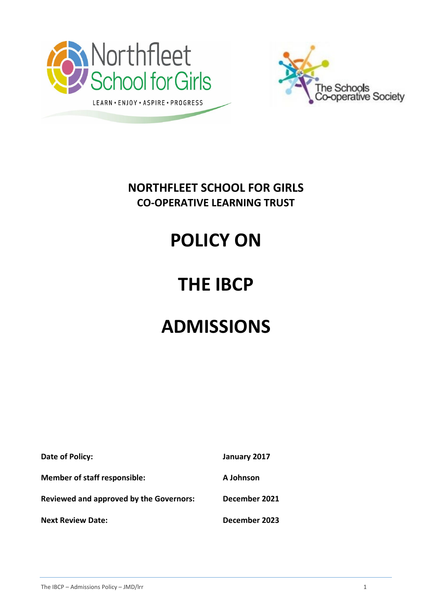



**NORTHFLEET SCHOOL FOR GIRLS CO-OPERATIVE LEARNING TRUST**

# **POLICY ON**

## **THE IBCP**

## **ADMISSIONS**

| Date of Policy:                                | January 2017  |
|------------------------------------------------|---------------|
| <b>Member of staff responsible:</b>            | A Johnson     |
| <b>Reviewed and approved by the Governors:</b> | December 2021 |
| <b>Next Review Date:</b>                       | December 2023 |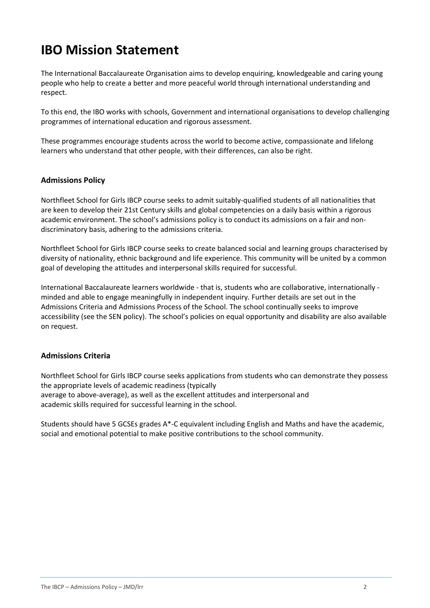## **IBO Mission Statement**

The International Baccalaureate Organisation aims to develop enquiring, knowledgeable and caring young people who help to create a better and more peaceful world through international understanding and respect.

To this end, the IBO works with schools, Government and international organisations to develop challenging programmes of international education and rigorous assessment.

These programmes encourage students across the world to become active, compassionate and lifelong learners who understand that other people, with their differences, can also be right.

### **Admissions Policy**

Northfleet School for Girls IBCP course seeks to admit suitably-qualified students of all nationalities that are keen to develop their 21st Century skills and global competencies on a daily basis within a rigorous academic environment. The school's admissions policy is to conduct its admissions on a fair and nondiscriminatory basis, adhering to the admissions criteria.

Northfleet School for Girls IBCP course seeks to create balanced social and learning groups characterised by diversity of nationality, ethnic background and life experience. This community will be united by a common goal of developing the attitudes and interpersonal skills required for successful.

International Baccalaureate learners worldwide - that is, students who are collaborative, internationally minded and able to engage meaningfully in independent inquiry. Further details are set out in the Admissions Criteria and Admissions Process of the School. The school continually seeks to improve accessibility (see the SEN policy). The school's policies on equal opportunity and disability are also available on request.

### **Admissions Criteria**

Northfleet School for Girls IBCP course seeks applications from students who can demonstrate they possess the appropriate levels of academic readiness (typically average to above-average), as well as the excellent attitudes and interpersonal and academic skills required for successful learning in the school.

Students should have 5 GCSEs grades A\*-C equivalent including English and Maths and have the academic, social and emotional potential to make positive contributions to the school community.